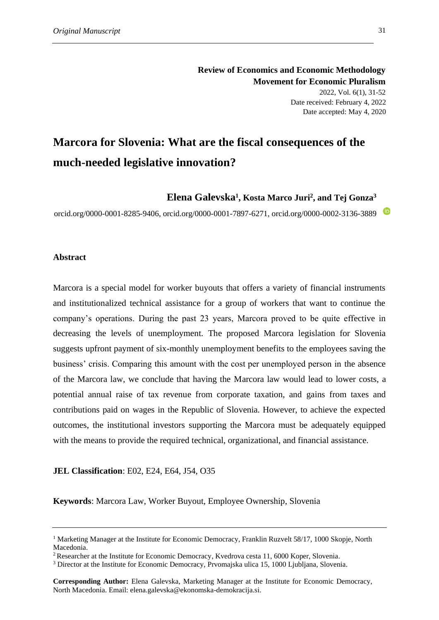# **Marcora for Slovenia: What are the fiscal consequences of the much-needed legislative innovation?**

**Elena Galevska<sup>1</sup> , Kosta Marco Juri<sup>2</sup> , and Tej Gonza<sup>3</sup>**

orcid.org/0000-0001-8285-9406, orcid.org/0000-0001-7897-6271, orcid.org/0000-0002-3136-3889

# **Abstract**

Marcora is a special model for worker buyouts that offers a variety of financial instruments and institutionalized technical assistance for a group of workers that want to continue the company's operations. During the past 23 years, Marcora proved to be quite effective in decreasing the levels of unemployment. The proposed Marcora legislation for Slovenia suggests upfront payment of six-monthly unemployment benefits to the employees saving the business' crisis. Comparing this amount with the cost per unemployed person in the absence of the Marcora law, we conclude that having the Marcora law would lead to lower costs, a potential annual raise of tax revenue from corporate taxation, and gains from taxes and contributions paid on wages in the Republic of Slovenia. However, to achieve the expected outcomes, the institutional investors supporting the Marcora must be adequately equipped with the means to provide the required technical, organizational, and financial assistance.

# **JEL Classification**: E02, E24, E64, J54, O35

**Keywords**: Marcora Law, Worker Buyout, Employee Ownership, Slovenia

<sup>&</sup>lt;sup>1</sup> Marketing Manager at the Institute for Economic Democracy, Franklin Ruzvelt 58/17, 1000 Skopje, North Macedonia.

<sup>2</sup>Researcher at the Institute for Economic Democracy, Kvedrova cesta 11, 6000 Koper, Slovenia.

<sup>3</sup> Director at the Institute for Economic Democracy, Prvomajska ulica 15, 1000 Ljubljana, Slovenia.

**Corresponding Author:** Elena Galevska, Marketing Manager at the Institute for Economic Democracy, North Macedonia. Email: elena.galevska@ekonomska-demokracija.si.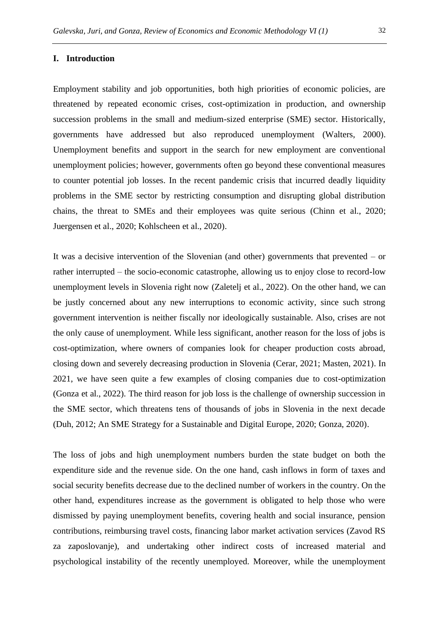#### **I. Introduction**

Employment stability and job opportunities, both high priorities of economic policies, are threatened by repeated economic crises, cost-optimization in production, and ownership succession problems in the small and medium-sized enterprise (SME) sector. Historically, governments have addressed but also reproduced unemployment (Walters, 2000). Unemployment benefits and support in the search for new employment are conventional unemployment policies; however, governments often go beyond these conventional measures to counter potential job losses. In the recent pandemic crisis that incurred deadly liquidity problems in the SME sector by restricting consumption and disrupting global distribution chains, the threat to SMEs and their employees was quite serious (Chinn et al., 2020; Juergensen et al., 2020; Kohlscheen et al., 2020).

It was a decisive intervention of the Slovenian (and other) governments that prevented – or rather interrupted – the socio-economic catastrophe, allowing us to enjoy close to record-low unemployment levels in Slovenia right now (Zaletelj et al., 2022). On the other hand, we can be justly concerned about any new interruptions to economic activity, since such strong government intervention is neither fiscally nor ideologically sustainable. Also, crises are not the only cause of unemployment. While less significant, another reason for the loss of jobs is cost-optimization, where owners of companies look for cheaper production costs abroad, closing down and severely decreasing production in Slovenia (Cerar, 2021; Masten, 2021). In 2021, we have seen quite a few examples of closing companies due to cost-optimization (Gonza et al., 2022). The third reason for job loss is the challenge of ownership succession in the SME sector, which threatens tens of thousands of jobs in Slovenia in the next decade (Duh, 2012; An SME Strategy for a Sustainable and Digital Europe, 2020; Gonza, 2020).

The loss of jobs and high unemployment numbers burden the state budget on both the expenditure side and the revenue side. On the one hand, cash inflows in form of taxes and social security benefits decrease due to the declined number of workers in the country. On the other hand, expenditures increase as the government is obligated to help those who were dismissed by paying unemployment benefits, covering health and social insurance, pension contributions, reimbursing travel costs, financing labor market activation services (Zavod RS za zaposlovanje), and undertaking other indirect costs of increased material and psychological instability of the recently unemployed. Moreover, while the unemployment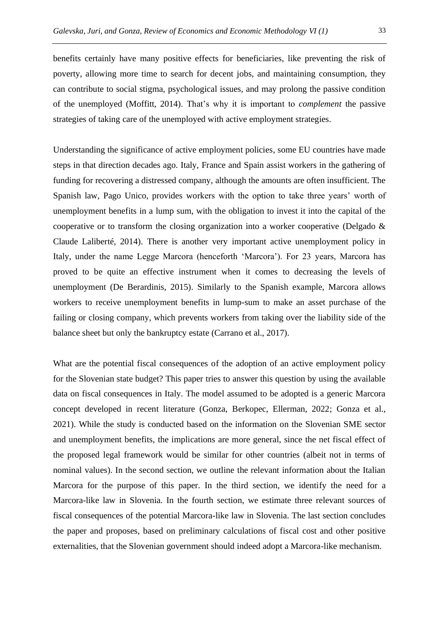benefits certainly have many positive effects for beneficiaries, like preventing the risk of poverty, allowing more time to search for decent jobs, and maintaining consumption, they can contribute to social stigma, psychological issues, and may prolong the passive condition of the unemployed (Moffitt, 2014). That's why it is important to *complement* the passive strategies of taking care of the unemployed with active employment strategies.

Understanding the significance of active employment policies, some EU countries have made steps in that direction decades ago. Italy, France and Spain assist workers in the gathering of funding for recovering a distressed company, although the amounts are often insufficient. The Spanish law, Pago Unico, provides workers with the option to take three years' worth of unemployment benefits in a lump sum, with the obligation to invest it into the capital of the cooperative or to transform the closing organization into a worker cooperative (Delgado & Claude Laliberté, 2014). There is another very important active unemployment policy in Italy, under the name Legge Marcora (henceforth 'Marcora'). For 23 years, Marcora has proved to be quite an effective instrument when it comes to decreasing the levels of unemployment (De Berardinis, 2015). Similarly to the Spanish example, Marcora allows workers to receive unemployment benefits in lump-sum to make an asset purchase of the failing or closing company, which prevents workers from taking over the liability side of the balance sheet but only the bankruptcy estate (Carrano et al., 2017).

What are the potential fiscal consequences of the adoption of an active employment policy for the Slovenian state budget? This paper tries to answer this question by using the available data on fiscal consequences in Italy. The model assumed to be adopted is a generic Marcora concept developed in recent literature (Gonza, Berkopec, Ellerman, 2022; Gonza et al., 2021). While the study is conducted based on the information on the Slovenian SME sector and unemployment benefits, the implications are more general, since the net fiscal effect of the proposed legal framework would be similar for other countries (albeit not in terms of nominal values). In the second section, we outline the relevant information about the Italian Marcora for the purpose of this paper. In the third section, we identify the need for a Marcora-like law in Slovenia. In the fourth section, we estimate three relevant sources of fiscal consequences of the potential Marcora-like law in Slovenia. The last section concludes the paper and proposes, based on preliminary calculations of fiscal cost and other positive externalities, that the Slovenian government should indeed adopt a Marcora-like mechanism.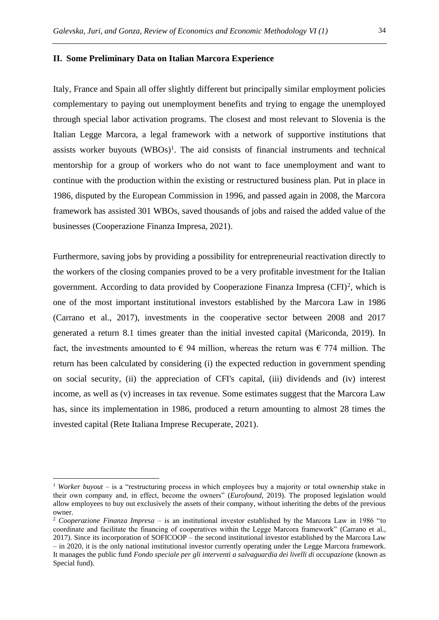#### **II. Some Preliminary Data on Italian Marcora Experience**

Italy, France and Spain all offer slightly different but principally similar employment policies complementary to paying out unemployment benefits and trying to engage the unemployed through special labor activation programs. The closest and most relevant to Slovenia is the Italian Legge Marcora, a legal framework with a network of supportive institutions that assists worker buyouts  $(WBOs)^{1}$ . The aid consists of financial instruments and technical mentorship for a group of workers who do not want to face unemployment and want to continue with the production within the existing or restructured business plan. Put in place in 1986, disputed by the European Commission in 1996, and passed again in 2008, the Marcora framework has assisted 301 WBOs, saved thousands of jobs and raised the added value of the businesses (Cooperazione Finanza Impresa, 2021).

Furthermore, saving jobs by providing a possibility for entrepreneurial reactivation directly to the workers of the closing companies proved to be a very profitable investment for the Italian government. According to data provided by Cooperazione Finanza Impresa  $(CFI)^2$ , which is one of the most important institutional investors established by the Marcora Law in 1986 (Carrano et al., 2017), investments in the cooperative sector between 2008 and 2017 generated a return 8.1 times greater than the initial invested capital (Mariconda, 2019). In fact, the investments amounted to  $\epsilon$  94 million, whereas the return was  $\epsilon$  774 million. The return has been calculated by considering (i) the expected reduction in government spending on social security, (ii) the appreciation of CFI's capital, (iii) dividends and (iv) interest income, as well as (v) increases in tax revenue. Some estimates suggest that the Marcora Law has, since its implementation in 1986, produced a return amounting to almost 28 times the invested capital (Rete Italiana Imprese Recuperate, 2021).

<sup>1</sup> *Worker buyout* – is a "restructuring process in which employees buy a majority or total ownership stake in their own company and, in effect, become the owners" (*Eurofound*, 2019). The proposed legislation would allow employees to buy out exclusively the assets of their company, without inheriting the debts of the previous owner.

<sup>2</sup> *Cooperazione Finanza Impresa* – is an institutional investor established by the Marcora Law in 1986 "to coordinate and facilitate the financing of cooperatives within the Legge Marcora framework" (Carrano et al., 2017). Since its incorporation of SOFICOOP – the second institutional investor established by the Marcora Law – in 2020, it is the only national institutional investor currently operating under the Legge Marcora framework. It manages the public fund *Fondo speciale per gli interventi a salvaguardia dei livelli di occupazione* (known as Special fund).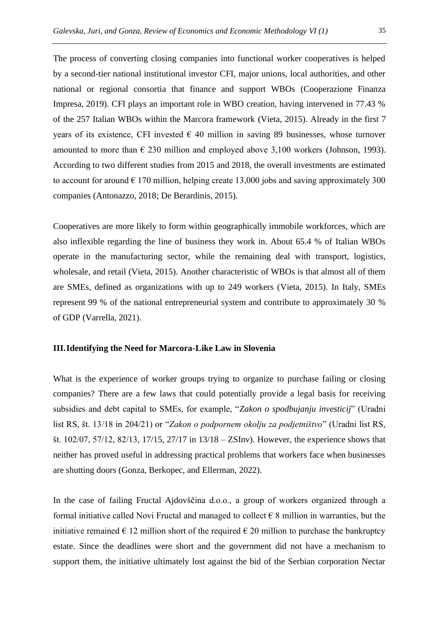The process of converting closing companies into functional worker cooperatives is helped by a second-tier national institutional investor CFI, major unions, local authorities, and other national or regional consortia that finance and support WBOs (Cooperazione Finanza Impresa, 2019). CFI plays an important role in WBO creation, having intervened in 77.43 % of the 257 Italian WBOs within the Marcora framework (Vieta, 2015). Already in the first 7 years of its existence, CFI invested  $\epsilon$  40 million in saving 89 businesses, whose turnover amounted to more than  $\epsilon$  230 million and employed above 3,100 workers (Johnson, 1993). According to two different studies from 2015 and 2018, the overall investments are estimated to account for around  $\epsilon$  170 million, helping create 13,000 jobs and saving approximately 300 companies (Antonazzo, 2018; De Berardinis, 2015).

Cooperatives are more likely to form within geographically immobile workforces, which are also inflexible regarding the line of business they work in. About 65.4 % of Italian WBOs operate in the manufacturing sector, while the remaining deal with transport, logistics, wholesale, and retail (Vieta, 2015). Another characteristic of WBOs is that almost all of them are SMEs, defined as organizations with up to 249 workers (Vieta, 2015). In Italy, SMEs represent 99 % of the national entrepreneurial system and contribute to approximately 30 % of GDP (Varrella, 2021).

#### **III.Identifying the Need for Marcora-Like Law in Slovenia**

What is the experience of worker groups trying to organize to purchase failing or closing companies? There are a few laws that could potentially provide a legal basis for receiving subsidies and debt capital to SMEs, for example, "*Zakon o spodbujanju investicij*" (Uradni list RS, št. 13/18 in 204/21) or "*Zakon o podpornem okolju za podjetništvo*" (Uradni list RS, št. 102/07, 57/12, 82/13, 17/15, 27/17 in 13/18 – ZSInv). However, the experience shows that neither has proved useful in addressing practical problems that workers face when businesses are shutting doors (Gonza, Berkopec, and Ellerman, 2022).

In the case of failing Fructal Ajdovščina d.o.o., a group of workers organized through a formal initiative called Novi Fructal and managed to collect  $\epsilon$  8 million in warranties, but the initiative remained  $\epsilon$  12 million short of the required  $\epsilon$  20 million to purchase the bankruptcy estate. Since the deadlines were short and the government did not have a mechanism to support them, the initiative ultimately lost against the bid of the Serbian corporation Nectar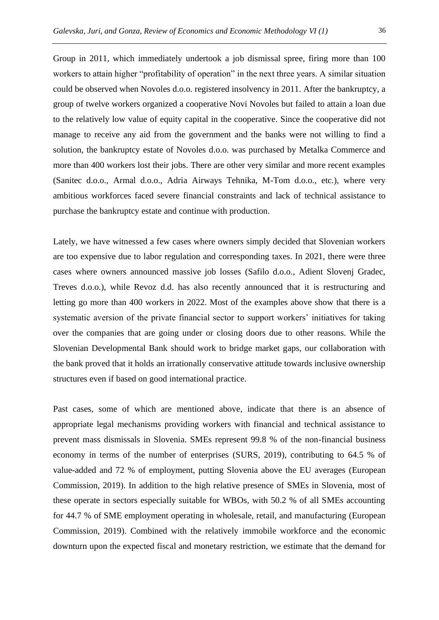Group in 2011, which immediately undertook a job dismissal spree, firing more than 100 workers to attain higher "profitability of operation" in the next three years. A similar situation could be observed when Novoles d.o.o. registered insolvency in 2011. After the bankruptcy, a group of twelve workers organized a cooperative Novi Novoles but failed to attain a loan due to the relatively low value of equity capital in the cooperative. Since the cooperative did not manage to receive any aid from the government and the banks were not willing to find a solution, the bankruptcy estate of Novoles d.o.o. was purchased by Metalka Commerce and more than 400 workers lost their jobs. There are other very similar and more recent examples (Sanitec d.o.o., Armal d.o.o., Adria Airways Tehnika, M-Tom d.o.o., etc.), where very ambitious workforces faced severe financial constraints and lack of technical assistance to purchase the bankruptcy estate and continue with production.

Lately, we have witnessed a few cases where owners simply decided that Slovenian workers are too expensive due to labor regulation and corresponding taxes. In 2021, there were three cases where owners announced massive job losses (Safilo d.o.o., Adient Slovenj Gradec, Treves d.o.o.), while Revoz d.d. has also recently announced that it is restructuring and letting go more than 400 workers in 2022. Most of the examples above show that there is a systematic aversion of the private financial sector to support workers' initiatives for taking over the companies that are going under or closing doors due to other reasons. While the Slovenian Developmental Bank should work to bridge market gaps, our collaboration with the bank proved that it holds an irrationally conservative attitude towards inclusive ownership structures even if based on good international practice.

Past cases, some of which are mentioned above, indicate that there is an absence of appropriate legal mechanisms providing workers with financial and technical assistance to prevent mass dismissals in Slovenia. SMEs represent 99.8 % of the non-financial business economy in terms of the number of enterprises (SURS, 2019), contributing to 64.5 % of value-added and 72 % of employment, putting Slovenia above the EU averages (European Commission, 2019). In addition to the high relative presence of SMEs in Slovenia, most of these operate in sectors especially suitable for WBOs, with 50.2 % of all SMEs accounting for 44.7 % of SME employment operating in wholesale, retail, and manufacturing (European Commission, 2019). Combined with the relatively immobile workforce and the economic downturn upon the expected fiscal and monetary restriction, we estimate that the demand for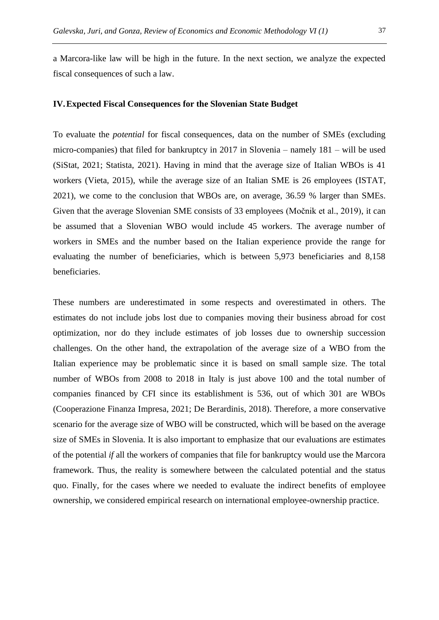a Marcora-like law will be high in the future. In the next section, we analyze the expected fiscal consequences of such a law.

# **IV.Expected Fiscal Consequences for the Slovenian State Budget**

To evaluate the *potential* for fiscal consequences, data on the number of SMEs (excluding micro-companies) that filed for bankruptcy in 2017 in Slovenia – namely 181 – will be used (SiStat, 2021; Statista, 2021). Having in mind that the average size of Italian WBOs is 41 workers (Vieta, 2015), while the average size of an Italian SME is 26 employees (ISTAT, 2021), we come to the conclusion that WBOs are, on average, 36.59 % larger than SMEs. Given that the average Slovenian SME consists of 33 employees (Močnik et al., 2019), it can be assumed that a Slovenian WBO would include 45 workers. The average number of workers in SMEs and the number based on the Italian experience provide the range for evaluating the number of beneficiaries, which is between 5,973 beneficiaries and 8,158 beneficiaries.

These numbers are underestimated in some respects and overestimated in others. The estimates do not include jobs lost due to companies moving their business abroad for cost optimization, nor do they include estimates of job losses due to ownership succession challenges. On the other hand, the extrapolation of the average size of a WBO from the Italian experience may be problematic since it is based on small sample size. The total number of WBOs from 2008 to 2018 in Italy is just above 100 and the total number of companies financed by CFI since its establishment is 536, out of which 301 are WBOs (Cooperazione Finanza Impresa, 2021; De Berardinis, 2018). Therefore, a more conservative scenario for the average size of WBO will be constructed, which will be based on the average size of SMEs in Slovenia. It is also important to emphasize that our evaluations are estimates of the potential *if* all the workers of companies that file for bankruptcy would use the Marcora framework. Thus, the reality is somewhere between the calculated potential and the status quo. Finally, for the cases where we needed to evaluate the indirect benefits of employee ownership, we considered empirical research on international employee-ownership practice.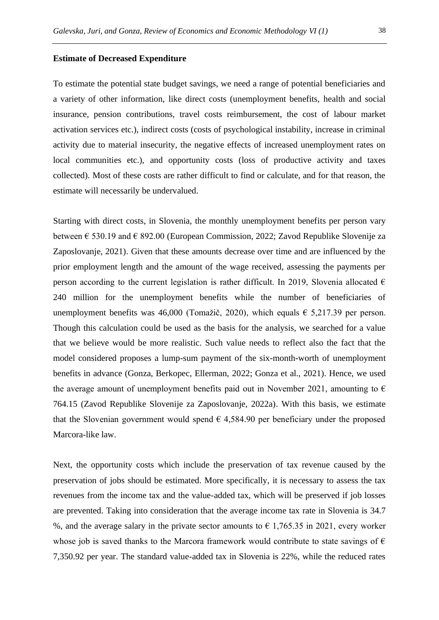#### **Estimate of Decreased Expenditure**

To estimate the potential state budget savings, we need a range of potential beneficiaries and a variety of other information, like direct costs (unemployment benefits, health and social insurance, pension contributions, travel costs reimbursement, the cost of labour market activation services etc.), indirect costs (costs of psychological instability, increase in criminal activity due to material insecurity, the negative effects of increased unemployment rates on local communities etc.), and opportunity costs (loss of productive activity and taxes collected). Most of these costs are rather difficult to find or calculate, and for that reason, the estimate will necessarily be undervalued.

Starting with direct costs, in Slovenia, the monthly unemployment benefits per person vary between  $\epsilon$  530.19 and  $\epsilon$  892.00 (European Commission, 2022; Zavod Republike Slovenije za Zaposlovanje, 2021). Given that these amounts decrease over time and are influenced by the prior employment length and the amount of the wage received, assessing the payments per person according to the current legislation is rather difficult. In 2019, Slovenia allocated  $\epsilon$ 240 million for the unemployment benefits while the number of beneficiaries of unemployment benefits was 46,000 (Tomažič, 2020), which equals  $\epsilon$  5,217.39 per person. Though this calculation could be used as the basis for the analysis, we searched for a value that we believe would be more realistic. Such value needs to reflect also the fact that the model considered proposes a lump-sum payment of the six-month-worth of unemployment benefits in advance (Gonza, Berkopec, Ellerman, 2022; Gonza et al., 2021). Hence, we used the average amount of unemployment benefits paid out in November 2021, amounting to  $\epsilon$ 764.15 (Zavod Republike Slovenije za Zaposlovanje, 2022a). With this basis, we estimate that the Slovenian government would spend  $\epsilon$  4,584.90 per beneficiary under the proposed Marcora-like law.

Next, the opportunity costs which include the preservation of tax revenue caused by the preservation of jobs should be estimated. More specifically, it is necessary to assess the tax revenues from the income tax and the value-added tax, which will be preserved if job losses are prevented. Taking into consideration that the average income tax rate in Slovenia is 34.7 %, and the average salary in the private sector amounts to  $\epsilon$  1,765.35 in 2021, every worker whose job is saved thanks to the Marcora framework would contribute to state savings of  $\epsilon$ 7,350.92 per year. The standard value-added tax in Slovenia is 22%, while the reduced rates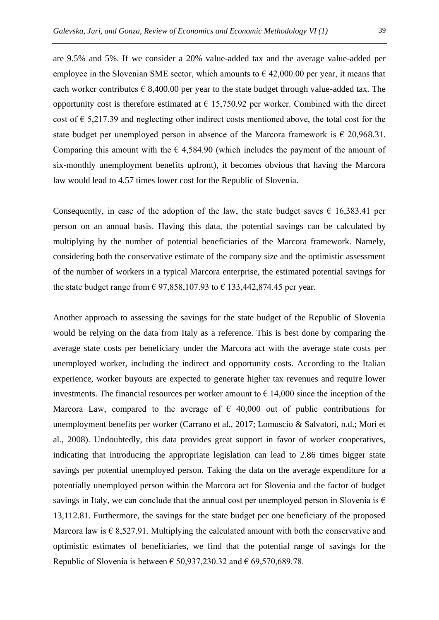are 9.5% and 5%. If we consider a 20% value-added tax and the average value-added per employee in the Slovenian SME sector, which amounts to  $\epsilon$  42,000.00 per year, it means that each worker contributes  $\epsilon$  8,400.00 per year to the state budget through value-added tax. The opportunity cost is therefore estimated at  $\epsilon$  15,750.92 per worker. Combined with the direct cost of  $\epsilon$  5,217.39 and neglecting other indirect costs mentioned above, the total cost for the state budget per unemployed person in absence of the Marcora framework is  $\epsilon$  20,968.31. Comparing this amount with the  $\epsilon$  4,584.90 (which includes the payment of the amount of six-monthly unemployment benefits upfront), it becomes obvious that having the Marcora law would lead to 4.57 times lower cost for the Republic of Slovenia.

Consequently, in case of the adoption of the law, the state budget saves  $\epsilon$  16,383.41 per person on an annual basis. Having this data, the potential savings can be calculated by multiplying by the number of potential beneficiaries of the Marcora framework. Namely, considering both the conservative estimate of the company size and the optimistic assessment of the number of workers in a typical Marcora enterprise, the estimated potential savings for the state budget range from  $\epsilon$  97,858,107.93 to  $\epsilon$  133,442,874.45 per year.

Another approach to assessing the savings for the state budget of the Republic of Slovenia would be relying on the data from Italy as a reference. This is best done by comparing the average state costs per beneficiary under the Marcora act with the average state costs per unemployed worker, including the indirect and opportunity costs. According to the Italian experience, worker buyouts are expected to generate higher tax revenues and require lower investments. The financial resources per worker amount to  $\epsilon$  14,000 since the inception of the Marcora Law, compared to the average of  $\epsilon$  40,000 out of public contributions for unemployment benefits per worker (Carrano et al., 2017; Lomuscio & Salvatori, n.d.; Mori et al., 2008). Undoubtedly, this data provides great support in favor of worker cooperatives, indicating that introducing the appropriate legislation can lead to 2.86 times bigger state savings per potential unemployed person. Taking the data on the average expenditure for a potentially unemployed person within the Marcora act for Slovenia and the factor of budget savings in Italy, we can conclude that the annual cost per unemployed person in Slovenia is  $\epsilon$ 13,112.81. Furthermore, the savings for the state budget per one beneficiary of the proposed Marcora law is  $\epsilon$  8,527.91. Multiplying the calculated amount with both the conservative and optimistic estimates of beneficiaries, we find that the potential range of savings for the Republic of Slovenia is between  $\epsilon$  50,937,230.32 and  $\epsilon$  69,570,689.78.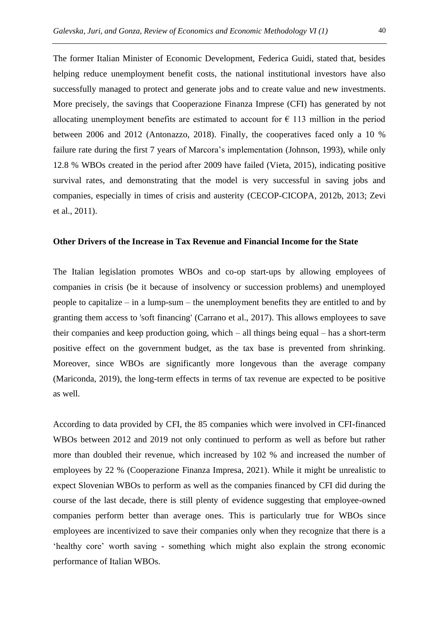The former Italian Minister of Economic Development, Federica Guidi, stated that, besides helping reduce unemployment benefit costs, the national institutional investors have also successfully managed to protect and generate jobs and to create value and new investments. More precisely, the savings that Cooperazione Finanza Imprese (CFI) has generated by not allocating unemployment benefits are estimated to account for  $\epsilon$  113 million in the period between 2006 and 2012 (Antonazzo, 2018). Finally, the cooperatives faced only a 10 % failure rate during the first 7 years of Marcora's implementation (Johnson, 1993), while only 12.8 % WBOs created in the period after 2009 have failed (Vieta, 2015), indicating positive survival rates, and demonstrating that the model is very successful in saving jobs and companies, especially in times of crisis and austerity (CECOP-CICOPA, 2012b, 2013; Zevi et al., 2011).

# **Other Drivers of the Increase in Tax Revenue and Financial Income for the State**

The Italian legislation promotes WBOs and co-op start-ups by allowing employees of companies in crisis (be it because of insolvency or succession problems) and unemployed people to capitalize – in a lump-sum – the unemployment benefits they are entitled to and by granting them access to 'soft financing' (Carrano et al., 2017). This allows employees to save their companies and keep production going, which – all things being equal – has a short-term positive effect on the government budget, as the tax base is prevented from shrinking. Moreover, since WBOs are significantly more longevous than the average company (Mariconda, 2019), the long-term effects in terms of tax revenue are expected to be positive as well.

According to data provided by CFI, the 85 companies which were involved in CFI-financed WBOs between 2012 and 2019 not only continued to perform as well as before but rather more than doubled their revenue, which increased by 102 % and increased the number of employees by 22 % (Cooperazione Finanza Impresa, 2021). While it might be unrealistic to expect Slovenian WBOs to perform as well as the companies financed by CFI did during the course of the last decade, there is still plenty of evidence suggesting that employee-owned companies perform better than average ones. This is particularly true for WBOs since employees are incentivized to save their companies only when they recognize that there is a 'healthy core' worth saving - something which might also explain the strong economic performance of Italian WBOs.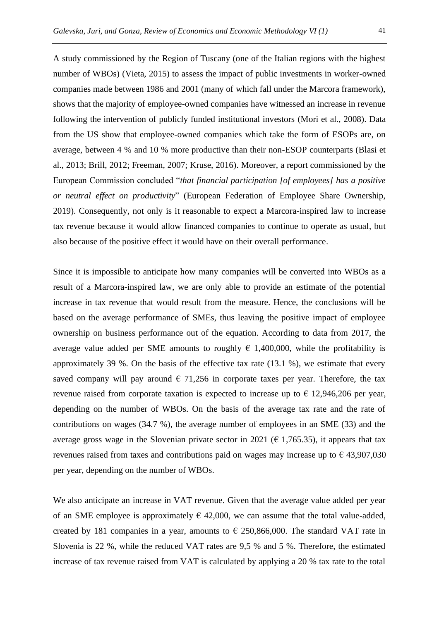A study commissioned by the Region of Tuscany (one of the Italian regions with the highest number of WBOs) (Vieta, 2015) to assess the impact of public investments in worker-owned companies made between 1986 and 2001 (many of which fall under the Marcora framework), shows that the majority of employee-owned companies have witnessed an increase in revenue following the intervention of publicly funded institutional investors (Mori et al., 2008). Data from the US show that employee-owned companies which take the form of ESOPs are, on average, between 4 % and 10 % more productive than their non-ESOP counterparts (Blasi et al., 2013; Brill, 2012; Freeman, 2007; Kruse, 2016). Moreover, a report commissioned by the European Commission concluded "*that financial participation [of employees] has a positive or neutral effect on productivity*" (European Federation of Employee Share Ownership, 2019). Consequently, not only is it reasonable to expect a Marcora-inspired law to increase tax revenue because it would allow financed companies to continue to operate as usual, but also because of the positive effect it would have on their overall performance.

Since it is impossible to anticipate how many companies will be converted into WBOs as a result of a Marcora-inspired law, we are only able to provide an estimate of the potential increase in tax revenue that would result from the measure. Hence, the conclusions will be based on the average performance of SMEs, thus leaving the positive impact of employee ownership on business performance out of the equation. According to data from 2017, the average value added per SME amounts to roughly  $\epsilon$  1,400,000, while the profitability is approximately 39 %. On the basis of the effective tax rate (13.1 %), we estimate that every saved company will pay around  $\epsilon$  71,256 in corporate taxes per year. Therefore, the tax revenue raised from corporate taxation is expected to increase up to  $\epsilon$  12,946,206 per year, depending on the number of WBOs. On the basis of the average tax rate and the rate of contributions on wages (34.7 %), the average number of employees in an SME (33) and the average gross wage in the Slovenian private sector in 2021 ( $\epsilon$  1,765.35), it appears that tax revenues raised from taxes and contributions paid on wages may increase up to  $\epsilon$  43,907,030 per year, depending on the number of WBOs.

We also anticipate an increase in VAT revenue. Given that the average value added per year of an SME employee is approximately  $\epsilon$  42,000, we can assume that the total value-added, created by 181 companies in a year, amounts to  $\epsilon$  250,866,000. The standard VAT rate in Slovenia is 22 %, while the reduced VAT rates are 9,5 % and 5 %. Therefore, the estimated increase of tax revenue raised from VAT is calculated by applying a 20 % tax rate to the total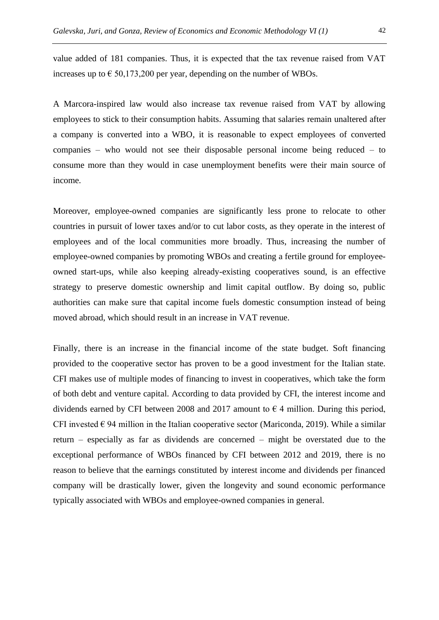value added of 181 companies. Thus, it is expected that the tax revenue raised from VAT increases up to  $\epsilon$  50,173,200 per year, depending on the number of WBOs.

A Marcora-inspired law would also increase tax revenue raised from VAT by allowing employees to stick to their consumption habits. Assuming that salaries remain unaltered after a company is converted into a WBO, it is reasonable to expect employees of converted companies – who would not see their disposable personal income being reduced – to consume more than they would in case unemployment benefits were their main source of income.

Moreover, employee-owned companies are significantly less prone to relocate to other countries in pursuit of lower taxes and/or to cut labor costs, as they operate in the interest of employees and of the local communities more broadly. Thus, increasing the number of employee-owned companies by promoting WBOs and creating a fertile ground for employeeowned start-ups, while also keeping already-existing cooperatives sound, is an effective strategy to preserve domestic ownership and limit capital outflow. By doing so, public authorities can make sure that capital income fuels domestic consumption instead of being moved abroad, which should result in an increase in VAT revenue.

Finally, there is an increase in the financial income of the state budget. Soft financing provided to the cooperative sector has proven to be a good investment for the Italian state. CFI makes use of multiple modes of financing to invest in cooperatives, which take the form of both debt and venture capital. According to data provided by CFI, the interest income and dividends earned by CFI between 2008 and 2017 amount to  $\epsilon$  4 million. During this period, CFI invested  $\epsilon$  94 million in the Italian cooperative sector (Mariconda, 2019). While a similar return – especially as far as dividends are concerned – might be overstated due to the exceptional performance of WBOs financed by CFI between 2012 and 2019, there is no reason to believe that the earnings constituted by interest income and dividends per financed company will be drastically lower, given the longevity and sound economic performance typically associated with WBOs and employee-owned companies in general.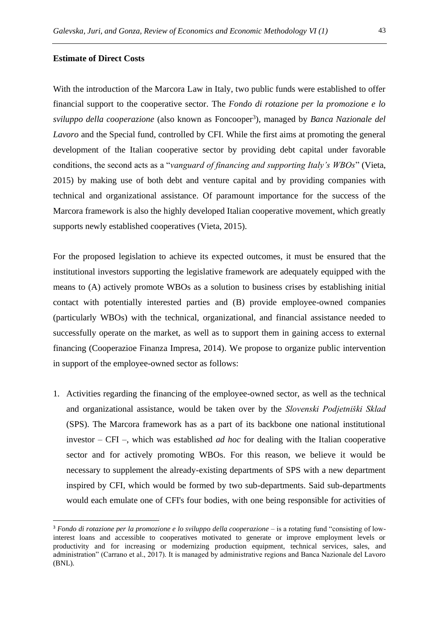# **Estimate of Direct Costs**

With the introduction of the Marcora Law in Italy, two public funds were established to offer financial support to the cooperative sector. The *Fondo di rotazione per la promozione e lo*  sviluppo della cooperazione (also known as Foncooper<sup>3</sup>), managed by *Banca Nazionale del Lavoro* and the Special fund, controlled by CFI. While the first aims at promoting the general development of the Italian cooperative sector by providing debt capital under favorable conditions, the second acts as a "*vanguard of financing and supporting Italy's WBOs*" (Vieta, 2015) by making use of both debt and venture capital and by providing companies with technical and organizational assistance. Of paramount importance for the success of the Marcora framework is also the highly developed Italian cooperative movement, which greatly supports newly established cooperatives (Vieta, 2015).

For the proposed legislation to achieve its expected outcomes, it must be ensured that the institutional investors supporting the legislative framework are adequately equipped with the means to (A) actively promote WBOs as a solution to business crises by establishing initial contact with potentially interested parties and (B) provide employee-owned companies (particularly WBOs) with the technical, organizational, and financial assistance needed to successfully operate on the market, as well as to support them in gaining access to external financing (Cooperazioe Finanza Impresa, 2014). We propose to organize public intervention in support of the employee-owned sector as follows:

1. Activities regarding the financing of the employee-owned sector, as well as the technical and organizational assistance, would be taken over by the *Slovenski Podjetniški Sklad* (SPS). The Marcora framework has as a part of its backbone one national institutional investor – CFI –, which was established *ad hoc* for dealing with the Italian cooperative sector and for actively promoting WBOs. For this reason, we believe it would be necessary to supplement the already-existing departments of SPS with a new department inspired by CFI, which would be formed by two sub-departments. Said sub-departments would each emulate one of CFI's four bodies, with one being responsible for activities of

<sup>&</sup>lt;sup>3</sup> *Fondo di rotazione per la promozione e lo sviluppo della cooperazione* – is a rotating fund "consisting of lowinterest loans and accessible to cooperatives motivated to generate or improve employment levels or productivity and for increasing or modernizing production equipment, technical services, sales, and administration" (Carrano et al., 2017). It is managed by administrative regions and Banca Nazionale del Lavoro (BNL).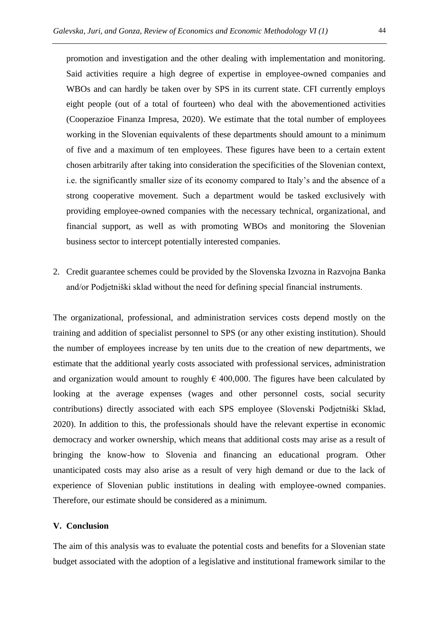promotion and investigation and the other dealing with implementation and monitoring. Said activities require a high degree of expertise in employee-owned companies and WBOs and can hardly be taken over by SPS in its current state. CFI currently employs eight people (out of a total of fourteen) who deal with the abovementioned activities (Cooperazioe Finanza Impresa, 2020). We estimate that the total number of employees working in the Slovenian equivalents of these departments should amount to a minimum of five and a maximum of ten employees. These figures have been to a certain extent chosen arbitrarily after taking into consideration the specificities of the Slovenian context, i.e. the significantly smaller size of its economy compared to Italy's and the absence of a strong cooperative movement. Such a department would be tasked exclusively with providing employee-owned companies with the necessary technical, organizational, and financial support, as well as with promoting WBOs and monitoring the Slovenian business sector to intercept potentially interested companies.

2. Credit guarantee schemes could be provided by the Slovenska Izvozna in Razvojna Banka and/or Podjetniški sklad without the need for defining special financial instruments.

The organizational, professional, and administration services costs depend mostly on the training and addition of specialist personnel to SPS (or any other existing institution). Should the number of employees increase by ten units due to the creation of new departments, we estimate that the additional yearly costs associated with professional services, administration and organization would amount to roughly  $\epsilon$  400,000. The figures have been calculated by looking at the average expenses (wages and other personnel costs, social security contributions) directly associated with each SPS employee (Slovenski Podjetniški Sklad, 2020). In addition to this, the professionals should have the relevant expertise in economic democracy and worker ownership, which means that additional costs may arise as a result of bringing the know-how to Slovenia and financing an educational program. Other unanticipated costs may also arise as a result of very high demand or due to the lack of experience of Slovenian public institutions in dealing with employee-owned companies. Therefore, our estimate should be considered as a minimum.

#### **V. Conclusion**

The aim of this analysis was to evaluate the potential costs and benefits for a Slovenian state budget associated with the adoption of a legislative and institutional framework similar to the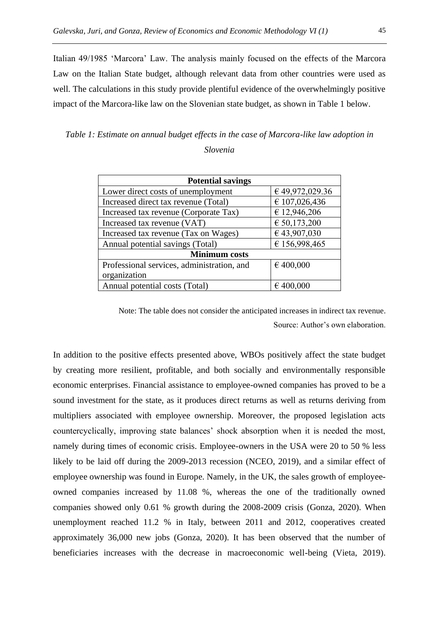Italian 49/1985 'Marcora' Law. The analysis mainly focused on the effects of the Marcora Law on the Italian State budget, although relevant data from other countries were used as well. The calculations in this study provide plentiful evidence of the overwhelmingly positive impact of the Marcora-like law on the Slovenian state budget, as shown in Table 1 below.

*Table 1: Estimate on annual budget effects in the case of Marcora-like law adoption in Slovenia*

| <b>Potential savings</b>                   |                       |
|--------------------------------------------|-----------------------|
| Lower direct costs of unemployment         | € 49,972,029.36       |
| Increased direct tax revenue (Total)       | € 107,026,436         |
| Increased tax revenue (Corporate Tax)      | € 12,946,206          |
| Increased tax revenue (VAT)                | $\epsilon$ 50,173,200 |
| Increased tax revenue (Tax on Wages)       | €43,907,030           |
| Annual potential savings (Total)           | € 156,998,465         |
| <b>Minimum costs</b>                       |                       |
| Professional services, administration, and | € 400,000             |
| organization                               |                       |
| Annual potential costs (Total)             | € 400,000             |

Note: The table does not consider the anticipated increases in indirect tax revenue. Source: Author's own elaboration.

In addition to the positive effects presented above, WBOs positively affect the state budget by creating more resilient, profitable, and both socially and environmentally responsible economic enterprises. Financial assistance to employee-owned companies has proved to be a sound investment for the state, as it produces direct returns as well as returns deriving from multipliers associated with employee ownership. Moreover, the proposed legislation acts countercyclically, improving state balances' shock absorption when it is needed the most, namely during times of economic crisis. Employee-owners in the USA were 20 to 50 % less likely to be laid off during the 2009-2013 recession (NCEO, 2019), and a similar effect of employee ownership was found in Europe. Namely, in the UK, the sales growth of employeeowned companies increased by 11.08 %, whereas the one of the traditionally owned companies showed only 0.61 % growth during the 2008-2009 crisis (Gonza, 2020). When unemployment reached 11.2 % in Italy, between 2011 and 2012, cooperatives created approximately 36,000 new jobs (Gonza, 2020). It has been observed that the number of beneficiaries increases with the decrease in macroeconomic well-being (Vieta, 2019).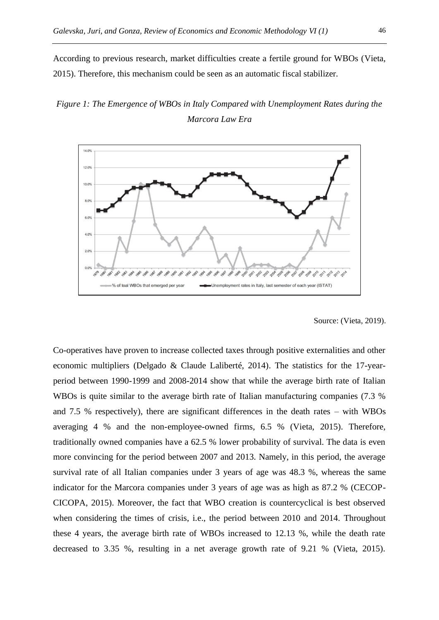According to previous research, market difficulties create a fertile ground for WBOs (Vieta, 2015). Therefore, this mechanism could be seen as an automatic fiscal stabilizer.

# *Figure 1: The Emergence of WBOs in Italy Compared with Unemployment Rates during the Marcora Law Era*



Source: (Vieta, 2019).

Co-operatives have proven to increase collected taxes through positive externalities and other economic multipliers (Delgado & Claude Laliberté, 2014). The statistics for the 17-yearperiod between 1990-1999 and 2008-2014 show that while the average birth rate of Italian WBOs is quite similar to the average birth rate of Italian manufacturing companies (7.3 %) and 7.5 % respectively), there are significant differences in the death rates – with WBOs averaging 4 % and the non-employee-owned firms, 6.5 % (Vieta, 2015). Therefore, traditionally owned companies have a 62.5 % lower probability of survival. The data is even more convincing for the period between 2007 and 2013. Namely, in this period, the average survival rate of all Italian companies under 3 years of age was 48.3 %, whereas the same indicator for the Marcora companies under 3 years of age was as high as 87.2 % (CECOP-CICOPA, 2015). Moreover, the fact that WBO creation is countercyclical is best observed when considering the times of crisis, i.e., the period between 2010 and 2014. Throughout these 4 years, the average birth rate of WBOs increased to 12.13 %, while the death rate decreased to 3.35 %, resulting in a net average growth rate of 9.21 % (Vieta, 2015).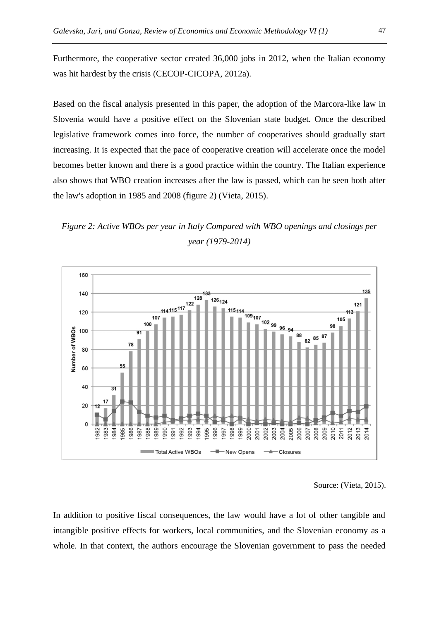Furthermore, the cooperative sector created 36,000 jobs in 2012, when the Italian economy was hit hardest by the crisis (CECOP-CICOPA, 2012a).

Based on the fiscal analysis presented in this paper, the adoption of the Marcora-like law in Slovenia would have a positive effect on the Slovenian state budget. Once the described legislative framework comes into force, the number of cooperatives should gradually start increasing. It is expected that the pace of cooperative creation will accelerate once the model becomes better known and there is a good practice within the country. The Italian experience also shows that WBO creation increases after the law is passed, which can be seen both after the law's adoption in 1985 and 2008 (figure 2) (Vieta, 2015).

*Figure 2: Active WBOs per year in Italy Compared with WBO openings and closings per year (1979-2014)*



Source: (Vieta, 2015).

In addition to positive fiscal consequences, the law would have a lot of other tangible and intangible positive effects for workers, local communities, and the Slovenian economy as a whole. In that context, the authors encourage the Slovenian government to pass the needed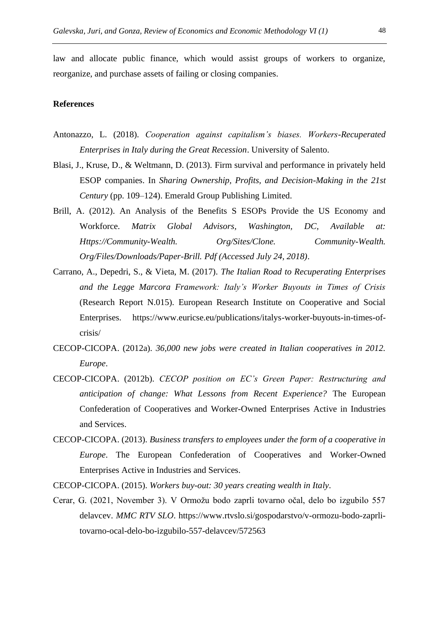law and allocate public finance, which would assist groups of workers to organize, reorganize, and purchase assets of failing or closing companies.

# **References**

- Antonazzo, L. (2018). *Cooperation against capitalism's biases. Workers-Recuperated Enterprises in Italy during the Great Recession*. University of Salento.
- Blasi, J., Kruse, D., & Weltmann, D. (2013). Firm survival and performance in privately held ESOP companies. In *Sharing Ownership, Profits, and Decision-Making in the 21st Century* (pp. 109–124). Emerald Group Publishing Limited.
- Brill, A. (2012). An Analysis of the Benefits S ESOPs Provide the US Economy and Workforce. *Matrix Global Advisors, Washington, DC, Available at: Https://Community-Wealth. Org/Sites/Clone. Community-Wealth. Org/Files/Downloads/Paper-Brill. Pdf (Accessed July 24, 2018)*.
- Carrano, A., Depedri, S., & Vieta, M. (2017). *The Italian Road to Recuperating Enterprises and the Legge Marcora Framework: Italy's Worker Buyouts in Times of Crisis* (Research Report N.015). European Research Institute on Cooperative and Social Enterprises. https://www.euricse.eu/publications/italys-worker-buyouts-in-times-ofcrisis/
- CECOP-CICOPA. (2012a). *36,000 new jobs were created in Italian cooperatives in 2012. Europe*.
- CECOP-CICOPA. (2012b). *CECOP position on EC's Green Paper: Restructuring and anticipation of change: What Lessons from Recent Experience?* The European Confederation of Cooperatives and Worker-Owned Enterprises Active in Industries and Services.
- CECOP-CICOPA. (2013). *Business transfers to employees under the form of a cooperative in Europe*. The European Confederation of Cooperatives and Worker-Owned Enterprises Active in Industries and Services.
- CECOP-CICOPA. (2015). *Workers buy-out: 30 years creating wealth in Italy*.
- Cerar, G. (2021, November 3). V Ormožu bodo zaprli tovarno očal, delo bo izgubilo 557 delavcev. *MMC RTV SLO*. https://www.rtvslo.si/gospodarstvo/v-ormozu-bodo-zaprlitovarno-ocal-delo-bo-izgubilo-557-delavcev/572563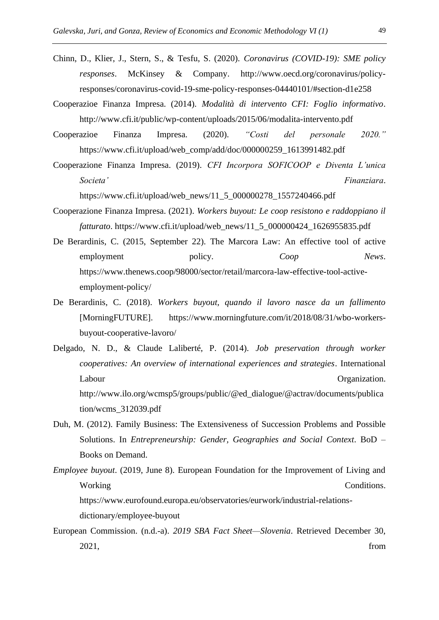- Chinn, D., Klier, J., Stern, S., & Tesfu, S. (2020). *Coronavirus (COVID-19): SME policy responses*. McKinsey & Company. http://www.oecd.org/coronavirus/policyresponses/coronavirus-covid-19-sme-policy-responses-04440101/#section-d1e258
- Cooperazioe Finanza Impresa. (2014). *Modalità di intervento CFI: Foglio informativo*. http://www.cfi.it/public/wp-content/uploads/2015/06/modalita-intervento.pdf
- Cooperazioe Finanza Impresa. (2020). *"Costi del personale 2020."* https://www.cfi.it/upload/web\_comp/add/doc/000000259\_1613991482.pdf
- Cooperazione Finanza Impresa. (2019). *CFI Incorpora SOFICOOP e Diventa L'unica Societa' Finanziara*.

https://www.cfi.it/upload/web\_news/11\_5\_000000278\_1557240466.pdf

- Cooperazione Finanza Impresa. (2021). *Workers buyout: Le coop resistono e raddoppiano il fatturato*. https://www.cfi.it/upload/web\_news/11\_5\_000000424\_1626955835.pdf
- De Berardinis, C. (2015, September 22). The Marcora Law: An effective tool of active employment policy. *Coop News*. https://www.thenews.coop/98000/sector/retail/marcora-law-effective-tool-activeemployment-policy/
- De Berardinis, C. (2018). *Workers buyout, quando il lavoro nasce da un fallimento* [MorningFUTURE]. https://www.morningfuture.com/it/2018/08/31/wbo-workersbuyout-cooperative-lavoro/
- Delgado, N. D., & Claude Laliberté, P. (2014). *Job preservation through worker cooperatives: An overview of international experiences and strategies*. International Labour **Organization**. http://www.ilo.org/wcmsp5/groups/public/@ed\_dialogue/@actrav/documents/publica tion/wcms\_312039.pdf
- Duh, M. (2012). Family Business: The Extensiveness of Succession Problems and Possible Solutions. In *Entrepreneurship: Gender, Geographies and Social Context*. BoD – Books on Demand.
- *Employee buyout*. (2019, June 8). European Foundation for the Improvement of Living and Working Conditions. https://www.eurofound.europa.eu/observatories/eurwork/industrial-relationsdictionary/employee-buyout
- European Commission. (n.d.-a). *2019 SBA Fact Sheet—Slovenia*. Retrieved December 30, 2021, from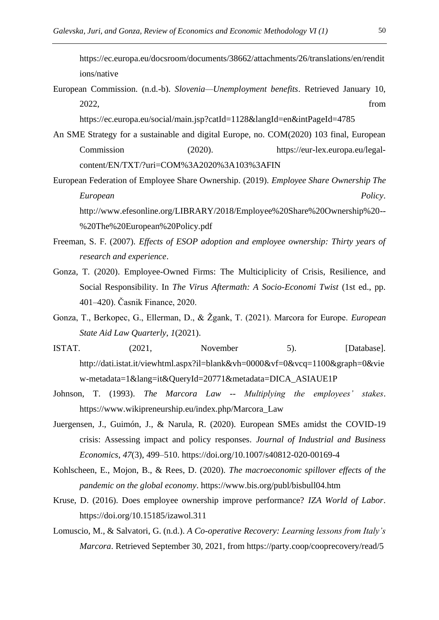https://ec.europa.eu/docsroom/documents/38662/attachments/26/translations/en/rendit ions/native

European Commission. (n.d.-b). *Slovenia—Unemployment benefits*. Retrieved January 10, 2022, from

https://ec.europa.eu/social/main.jsp?catId=1128&langId=en&intPageId=4785

- An SME Strategy for a sustainable and digital Europe, no. COM(2020) 103 final, European Commission (2020). https://eur-lex.europa.eu/legalcontent/EN/TXT/?uri=COM%3A2020%3A103%3AFIN
- European Federation of Employee Share Ownership. (2019). *Employee Share Ownership The European Policy*.

http://www.efesonline.org/LIBRARY/2018/Employee%20Share%20Ownership%20-- %20The%20European%20Policy.pdf

- Freeman, S. F. (2007). *Effects of ESOP adoption and employee ownership: Thirty years of research and experience*.
- Gonza, T. (2020). Employee-Owned Firms: The Multiciplicity of Crisis, Resilience, and Social Responsibility. In *The Virus Aftermath: A Socio-Economi Twist* (1st ed., pp. 401–420). Časnik Finance, 2020.
- Gonza, T., Berkopec, G., Ellerman, D., & Žgank, T. (2021). Marcora for Europe. *European State Aid Law Quarterly*, *1*(2021).
- ISTAT. (2021, November 5). [Database]. http://dati.istat.it/viewhtml.aspx?il=blank&vh=0000&vf=0&vcq=1100&graph=0&vie w-metadata=1&lang=it&QueryId=20771&metadata=DICA\_ASIAUE1P
- Johnson, T. (1993). *The Marcora Law -- Multiplying the employees' stakes*. https://www.wikipreneurship.eu/index.php/Marcora\_Law
- Juergensen, J., Guimón, J., & Narula, R. (2020). European SMEs amidst the COVID-19 crisis: Assessing impact and policy responses. *Journal of Industrial and Business Economics*, *47*(3), 499–510. https://doi.org/10.1007/s40812-020-00169-4
- Kohlscheen, E., Mojon, B., & Rees, D. (2020). *The macroeconomic spillover effects of the pandemic on the global economy*. https://www.bis.org/publ/bisbull04.htm
- Kruse, D. (2016). Does employee ownership improve performance? *IZA World of Labor*. https://doi.org/10.15185/izawol.311
- Lomuscio, M., & Salvatori, G. (n.d.). *A Co-operative Recovery: Learning lessons from Italy's Marcora*. Retrieved September 30, 2021, from https://party.coop/cooprecovery/read/5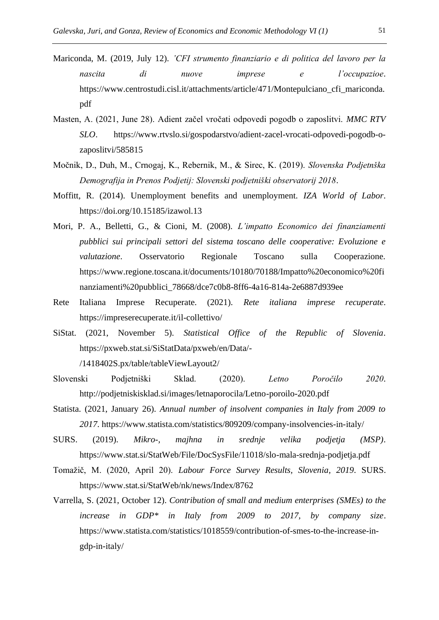- Mariconda, M. (2019, July 12). *'CFI strumento finanziario e di politica del lavoro per la nascita di nuove imprese e l'occupazioe*. https://www.centrostudi.cisl.it/attachments/article/471/Montepulciano\_cfi\_mariconda. pdf
- Masten, A. (2021, June 28). Adient začel vročati odpovedi pogodb o zaposlitvi. *MMC RTV SLO*. https://www.rtvslo.si/gospodarstvo/adient-zacel-vrocati-odpovedi-pogodb-ozaposlitvi/585815
- Močnik, D., Duh, M., Crnogaj, K., Rebernik, M., & Sirec, K. (2019). *Slovenska Podjetnška Demografija in Prenos Podjetij: Slovenski podjetniški observatorij 2018*.
- Moffitt, R. (2014). Unemployment benefits and unemployment. *IZA World of Labor*. https://doi.org/10.15185/izawol.13
- Mori, P. A., Belletti, G., & Cioni, M. (2008). *L'impatto Economico dei finanziamenti pubblici sui principali settori del sistema toscano delle cooperative: Evoluzione e valutazione*. Osservatorio Regionale Toscano sulla Cooperazione. https://www.regione.toscana.it/documents/10180/70188/Impatto%20economico%20fi nanziamenti%20pubblici\_78668/dce7c0b8-8ff6-4a16-814a-2e6887d939ee
- Rete Italiana Imprese Recuperate. (2021). *Rete italiana imprese recuperate*. https://impreserecuperate.it/il-collettivo/
- SiStat. (2021, November 5). *Statistical Office of the Republic of Slovenia*. https://pxweb.stat.si/SiStatData/pxweb/en/Data/- /1418402S.px/table/tableViewLayout2/
- Slovenski Podjetniški Sklad. (2020). *Letno Poročilo 2020*. http://podjetniskisklad.si/images/letnaporocila/Letno-poroilo-2020.pdf
- Statista. (2021, January 26). *Annual number of insolvent companies in Italy from 2009 to 2017*. https://www.statista.com/statistics/809209/company-insolvencies-in-italy/
- SURS. (2019). *Mikro-, majhna in srednje velika podjetja (MSP)*. https://www.stat.si/StatWeb/File/DocSysFile/11018/slo-mala-srednja-podjetja.pdf
- Tomažič, M. (2020, April 20). *Labour Force Survey Results, Slovenia, 2019*. SURS. https://www.stat.si/StatWeb/nk/news/Index/8762
- Varrella, S. (2021, October 12). *Contribution of small and medium enterprises (SMEs) to the increase in GDP\* in Italy from 2009 to 2017, by company size*. https://www.statista.com/statistics/1018559/contribution-of-smes-to-the-increase-ingdp-in-italy/